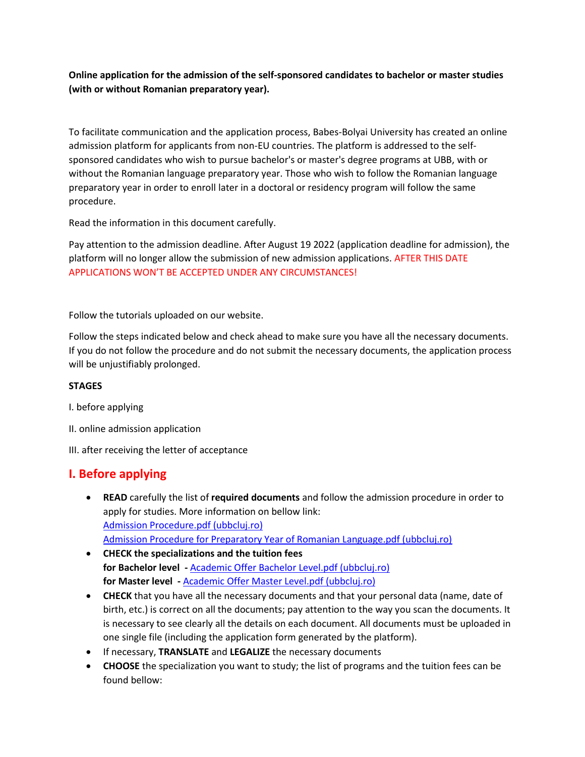**Online application for the admission of the self-sponsored candidates to bachelor or master studies (with or without Romanian preparatory year).** 

To facilitate communication and the application process, Babes-Bolyai University has created an online admission platform for applicants from non-EU countries. The platform is addressed to the selfsponsored candidates who wish to pursue bachelor's or master's degree programs at UBB, with or without the Romanian language preparatory year. Those who wish to follow the Romanian language preparatory year in order to enroll later in a doctoral or residency program will follow the same procedure.

Read the information in this document carefully.

Pay attention to the admission deadline. After August 19 2022 (application deadline for admission), the platform will no longer allow the submission of new admission applications. AFTER THIS DATE APPLICATIONS WON'T BE ACCEPTED UNDER ANY CIRCUMSTANCES!

Follow the tutorials uploaded on our website.

Follow the steps indicated below and check ahead to make sure you have all the necessary documents. If you do not follow the procedure and do not submit the necessary documents, the application process will be unjustifiably prolonged.

### **STAGES**

I. before applying

- II. online admission application
- III. after receiving the letter of acceptance

## **I. Before applying**

- **READ** carefully the list of **required documents** and follow the admission procedure in order to apply for studies. More information on bellow link: [Admission Procedure.pdf \(ubbcluj.ro\)](https://cci.ubbcluj.ro/degree_students/files/non-EU%20students/admitere%202022-2023/Admission%20Procedure.pdf) [Admission Procedure for Preparatory Year of Romanian Language.pdf \(ubbcluj.ro\)](https://cci.ubbcluj.ro/degree_students/files/non-EU%20students/admitere%202022-2023/Admission%20Procedure%20for%20Preparatory%20Year%20of%20Romanian%20Language.pdf)
- **CHECK the specializations and the tuition fees for Bachelor level -** [Academic Offer Bachelor Level.pdf \(ubbcluj.ro\)](https://cci.ubbcluj.ro/degree_students/files/non-EU%20students/admitere%202022-2023/Academic%20Offer%20Bachelor%20Level.pdf) **for Master level -** [Academic Offer Master Level.pdf \(ubbcluj.ro\)](https://cci.ubbcluj.ro/degree_students/files/non-EU%20students/admitere%202022-2023/Academic%20Offer%20Master%20Level.pdf)
- **CHECK** that you have all the necessary documents and that your personal data (name, date of birth, etc.) is correct on all the documents; pay attention to the way you scan the documents. It is necessary to see clearly all the details on each document. All documents must be uploaded in one single file (including the application form generated by the platform).
- If necessary, **TRANSLATE** and **LEGALIZE** the necessary documents
- **CHOOSE** the specialization you want to study; the list of programs and the tuition fees can be found bellow: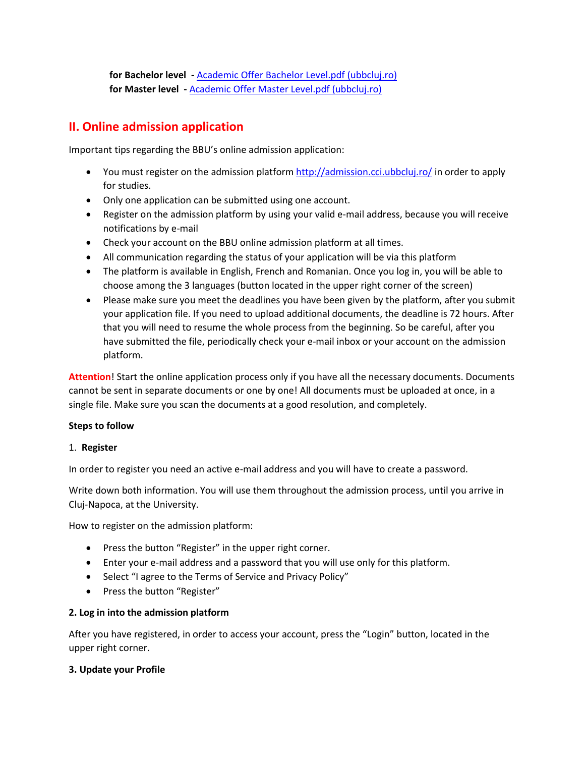**for Bachelor level -** [Academic Offer Bachelor Level.pdf \(ubbcluj.ro\)](https://cci.ubbcluj.ro/degree_students/files/non-EU%20students/admitere%202022-2023/Academic%20Offer%20Bachelor%20Level.pdf) **for Master level -** [Academic Offer Master Level.pdf \(ubbcluj.ro\)](https://cci.ubbcluj.ro/degree_students/files/non-EU%20students/admitere%202022-2023/Academic%20Offer%20Master%20Level.pdf)

# **II. Online admission application**

Important tips regarding the BBU's online admission application:

- You must register on the admission platform <http://admission.cci.ubbcluj.ro/> in order to apply for studies.
- Only one application can be submitted using one account.
- Register on the admission platform by using your valid e-mail address, because you will receive notifications by e-mail
- Check your account on the BBU online admission platform at all times.
- All communication regarding the status of your application will be via this platform
- The platform is available in English, French and Romanian. Once you log in, you will be able to choose among the 3 languages (button located in the upper right corner of the screen)
- Please make sure you meet the deadlines you have been given by the platform, after you submit your application file. If you need to upload additional documents, the deadline is 72 hours. After that you will need to resume the whole process from the beginning. So be careful, after you have submitted the file, periodically check your e-mail inbox or your account on the admission platform.

**Attention**! Start the online application process only if you have all the necessary documents. Documents cannot be sent in separate documents or one by one! All documents must be uploaded at once, in a single file. Make sure you scan the documents at a good resolution, and completely.

### **Steps to follow**

### 1. **Register**

In order to register you need an active e-mail address and you will have to create a password.

Write down both information. You will use them throughout the admission process, until you arrive in Cluj-Napoca, at the University.

How to register on the admission platform:

- Press the button "Register" in the upper right corner.
- Enter your e-mail address and a password that you will use only for this platform.
- Select "I agree to the Terms of Service and Privacy Policy"
- Press the button "Register"

### **2. Log in into the admission platform**

After you have registered, in order to access your account, press the "Login" button, located in the upper right corner.

### **3. Update your Profile**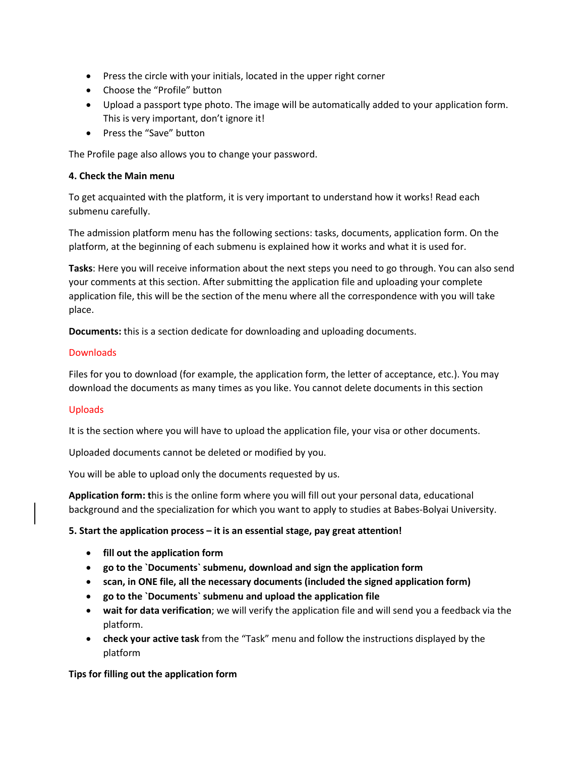- Press the circle with your initials, located in the upper right corner
- Choose the "Profile" button
- Upload a passport type photo. The image will be automatically added to your application form. This is very important, don't ignore it!
- Press the "Save" button

The Profile page also allows you to change your password.

### **4. Check the Main menu**

To get acquainted with the platform, it is very important to understand how it works! Read each submenu carefully.

The admission platform menu has the following sections: tasks, documents, application form. On the platform, at the beginning of each submenu is explained how it works and what it is used for.

**Tasks**: Here you will receive information about the next steps you need to go through. You can also send your comments at this section. After submitting the application file and uploading your complete application file, this will be the section of the menu where all the correspondence with you will take place.

**Documents:** this is a section dedicate for downloading and uploading documents.

### **Downloads**

Files for you to download (for example, the application form, the letter of acceptance, etc.). You may download the documents as many times as you like. You cannot delete documents in this section

### Uploads

It is the section where you will have to upload the application file, your visa or other documents.

Uploaded documents cannot be deleted or modified by you.

You will be able to upload only the documents requested by us.

**Application form: t**his is the online form where you will fill out your personal data, educational background and the specialization for which you want to apply to studies at Babes-Bolyai University.

### **5. Start the application process – it is an essential stage, pay great attention!**

- **fill out the application form**
- **go to the `Documents` submenu, download and sign the application form**
- **scan, in ONE file, all the necessary documents (included the signed application form)**
- **go to the `Documents` submenu and upload the application file**
- **wait for data verification**; we will verify the application file and will send you a feedback via the platform.
- **check your active task** from the "Task" menu and follow the instructions displayed by the platform

### **Tips for filling out the application form**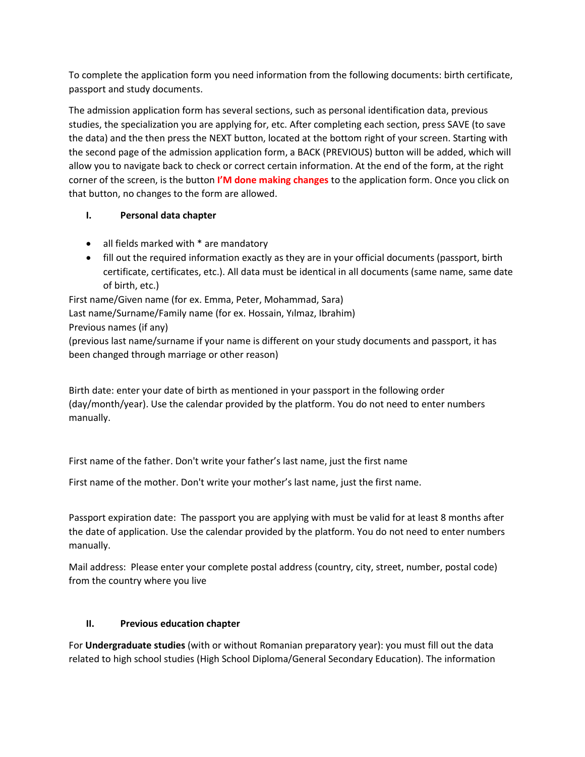To complete the application form you need information from the following documents: birth certificate, passport and study documents.

The admission application form has several sections, such as personal identification data, previous studies, the specialization you are applying for, etc. After completing each section, press SAVE (to save the data) and the then press the NEXT button, located at the bottom right of your screen. Starting with the second page of the admission application form, a BACK (PREVIOUS) button will be added, which will allow you to navigate back to check or correct certain information. At the end of the form, at the right corner of the screen, is the button **I'M done making changes** to the application form. Once you click on that button, no changes to the form are allowed.

### **I. Personal data chapter**

- all fields marked with  $*$  are mandatory
- fill out the required information exactly as they are in your official documents (passport, birth certificate, certificates, etc.). All data must be identical in all documents (same name, same date of birth, etc.)

First name/Given name (for ex. Emma, Peter, Mohammad, Sara) Last name/Surname/Family name (for ex. Hossain, Yılmaz, Ibrahim) Previous names (if any)

(previous last name/surname if your name is different on your study documents and passport, it has been changed through marriage or other reason)

Birth date: enter your date of birth as mentioned in your passport in the following order (day/month/year). Use the calendar provided by the platform. You do not need to enter numbers manually.

First name of the father. Don't write your father's last name, just the first name

First name of the mother. Don't write your mother's last name, just the first name.

Passport expiration date: The passport you are applying with must be valid for at least 8 months after the date of application. Use the calendar provided by the platform. You do not need to enter numbers manually.

Mail address: Please enter your complete postal address (country, city, street, number, postal code) from the country where you live

### **II. Previous education chapter**

For **Undergraduate studies** (with or without Romanian preparatory year): you must fill out the data related to high school studies (High School Diploma/General Secondary Education). The information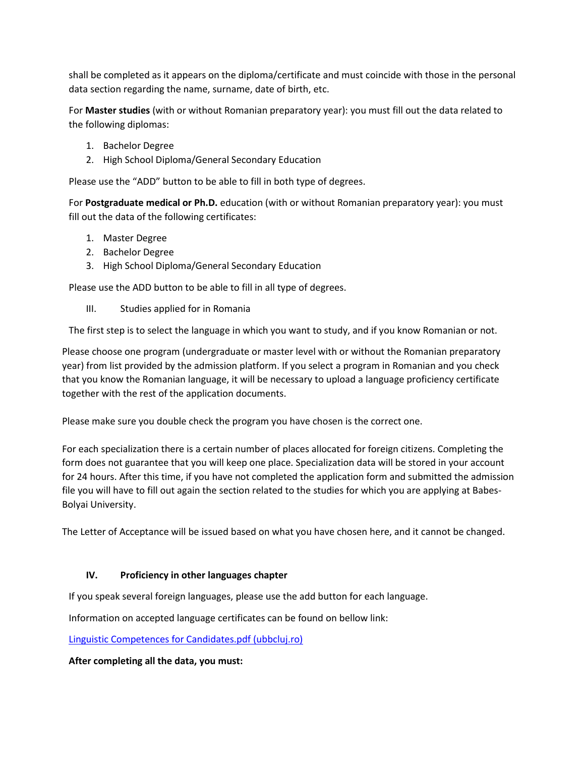shall be completed as it appears on the diploma/certificate and must coincide with those in the personal data section regarding the name, surname, date of birth, etc.

For **Master studies** (with or without Romanian preparatory year): you must fill out the data related to the following diplomas:

- 1. Bachelor Degree
- 2. High School Diploma/General Secondary Education

Please use the "ADD" button to be able to fill in both type of degrees.

For **Postgraduate medical or Ph.D.** education (with or without Romanian preparatory year): you must fill out the data of the following certificates:

- 1. Master Degree
- 2. Bachelor Degree
- 3. High School Diploma/General Secondary Education

Please use the ADD button to be able to fill in all type of degrees.

III. Studies applied for in Romania

The first step is to select the language in which you want to study, and if you know Romanian or not.

Please choose one program (undergraduate or master level with or without the Romanian preparatory year) from list provided by the admission platform. If you select a program in Romanian and you check that you know the Romanian language, it will be necessary to upload a language proficiency certificate together with the rest of the application documents.

Please make sure you double check the program you have chosen is the correct one.

For each specialization there is a certain number of places allocated for foreign citizens. Completing the form does not guarantee that you will keep one place. Specialization data will be stored in your account for 24 hours. After this time, if you have not completed the application form and submitted the admission file you will have to fill out again the section related to the studies for which you are applying at Babes-Bolyai University.

The Letter of Acceptance will be issued based on what you have chosen here, and it cannot be changed.

### **IV. Proficiency in other languages chapter**

If you speak several foreign languages, please use the add button for each language.

Information on accepted language certificates can be found on bellow link:

[Linguistic Competences for Candidates.pdf \(ubbcluj.ro\)](https://cci.ubbcluj.ro/degree_students/files/non-EU%20students/admitere%202022-2023/Linguistic%20Competences%20for%20Candidates.pdf)

**After completing all the data, you must:**